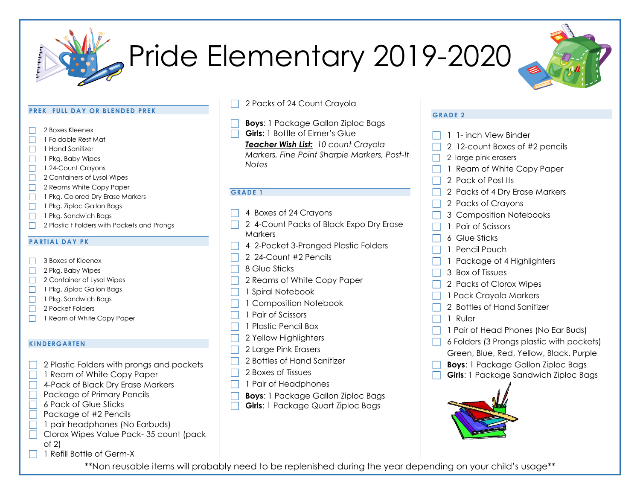

# Pride Elementary 2019-2020



#### **PREK FULL DAY OR BLENDED PREK**

- 2 Boxes Kleenex
- 1 Foldable Rest Mat
- 1 Hand Sanitizer
- $\Box$  1 Pkg. Baby Wipes
- 1 24-Count Crayons
- □ 2 Containers of Lysol Wipes
- 2 Reams White Copy Paper
- 1 Pkg. Colored Dry Erase Markers
- 1 Pkg. Ziploc Gallon Bags
- $\Box$  1 Pkg. Sandwich Bags
- 2 Plastic t Folders with Pockets and Prongs

### **PARTIAL DAY PK**

- 3 Boxes of Kleenex
- $\Box$  2 Pkg. Baby Wipes
- □ 2 Container of Lysol Wipes
- 1 Pkg. Ziploc Gallon Bags
- $\Box$  1 Pkg. Sandwich Bags
- □ 2 Pocket Folders
- 1 Ream of White Copy Paper

### **KINDERGARTEN**

- 2 Plastic Folders with prongs and pockets
- 1 Ream of White Copy Paper
- 4-Pack of Black Dry Erase Markers
- $\Box$  Package of Primary Pencils
	- 6 Pack of Glue Sticks
	- Package of #2 Pencils
	- 1 pair headphones (No Earbuds)
	- Clorox Wipes Value Pack- 35 count (pack of 2)
	- 1 Refill Bottle of Germ-X
- 2 Packs of 24 Count Crayola
- **Boys**: 1 Package Gallon Ziploc Bags
- **Girls**: 1 Bottle of Elmer's Glue

*Teacher Wish List: 10 count Crayola Markers, Fine Point Sharpie Markers, Post-It Notes*

### **GRADE 1**

- 4 Boxes of 24 Crayons
- 2 4-Count Packs of Black Expo Dry Erase **Markers**
- 4 2-Pocket 3-Pronged Plastic Folders
- 2 24-Count #2 Pencils
- 8 Glue Sticks
- 2 Reams of White Copy Paper
- 1 Spiral Notebook
- $\Box$  1 Composition Notebook
- 1 Pair of Scissors
- 1 Plastic Pencil Box
- 2 Yellow Highlighters
- □ 2 Large Pink Erasers
- 2 Bottles of Hand Sanitizer
- 2 Boxes of Tissues
- 1 Pair of Headphones
- **Boys**: 1 Package Gallon Ziploc Bags
- **Girls**: 1 Package Quart Ziploc Bags

### **GRADE 2**

- 1 1- inch View Binder
- 2 12-count Boxes of #2 pencils
- 2 large pink erasers
- 1 Ream of White Copy Paper
- 2 Pack of Post Its
- 2 Packs of 4 Dry Erase Markers
- 2 Packs of Crayons
- 3 Composition Notebooks
- 1 Pair of Scissors
- 6 Glue Sticks
- 1 Pencil Pouch
- 1 Package of 4 Highlighters
- 3 Box of Tissues
- 2 Packs of Clorox Wipes
- 1 Pack Crayola Markers
- 2 Bottles of Hand Sanitizer
- 1 Ruler
- 1 Pair of Head Phones (No Ear Buds)
- 6 Folders (3 Prongs plastic with pockets) Green, Blue, Red, Yellow, Black, Purple
- **Boys**: 1 Package Gallon Ziploc Bags
- **Girls**: 1 Package Sandwich Ziploc Bags



\*\*Non reusable items will probably need to be replenished during the year depending on your child's usage\*\*